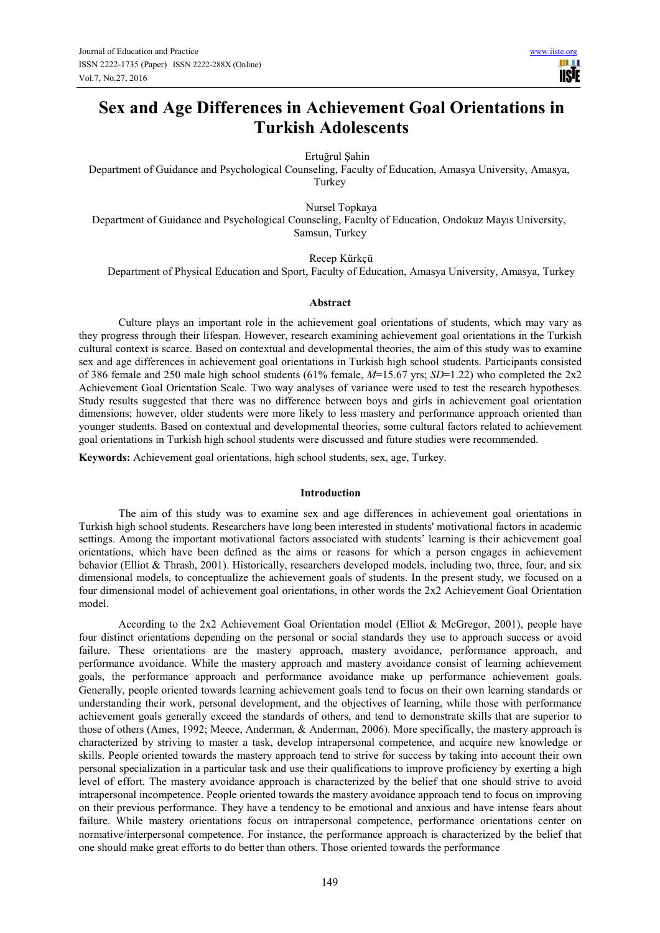# **Sex and Age Differences in Achievement Goal Orientations in Turkish Adolescents**

Ertuğrul Şahin

Department of Guidance and Psychological Counseling, Faculty of Education, Amasya University, Amasya, Turkey

Nursel Topkaya

Department of Guidance and Psychological Counseling, Faculty of Education, Ondokuz Mayıs University, Samsun, Turkey

Recep Kürkçü

Department of Physical Education and Sport, Faculty of Education, Amasya University, Amasya, Turkey

## **Abstract**

Culture plays an important role in the achievement goal orientations of students, which may vary as they progress through their lifespan. However, research examining achievement goal orientations in the Turkish cultural context is scarce. Based on contextual and developmental theories, the aim of this study was to examine sex and age differences in achievement goal orientations in Turkish high school students. Participants consisted of 386 female and 250 male high school students (61% female, *M*=15.67 yrs; *SD*=1.22) who completed the 2x2 Achievement Goal Orientation Scale. Two way analyses of variance were used to test the research hypotheses. Study results suggested that there was no difference between boys and girls in achievement goal orientation dimensions; however, older students were more likely to less mastery and performance approach oriented than younger students. Based on contextual and developmental theories, some cultural factors related to achievement goal orientations in Turkish high school students were discussed and future studies were recommended.

**Keywords:** Achievement goal orientations, high school students, sex, age, Turkey.

## **Introduction**

The aim of this study was to examine sex and age differences in achievement goal orientations in Turkish high school students. Researchers have long been interested in students' motivational factors in academic settings. Among the important motivational factors associated with students' learning is their achievement goal orientations, which have been defined as the aims or reasons for which a person engages in achievement behavior (Elliot & Thrash, 2001). Historically, researchers developed models, including two, three, four, and six dimensional models, to conceptualize the achievement goals of students. In the present study, we focused on a four dimensional model of achievement goal orientations, in other words the 2x2 Achievement Goal Orientation model.

According to the 2x2 Achievement Goal Orientation model (Elliot & McGregor, 2001), people have four distinct orientations depending on the personal or social standards they use to approach success or avoid failure. These orientations are the mastery approach, mastery avoidance, performance approach, and performance avoidance. While the mastery approach and mastery avoidance consist of learning achievement goals, the performance approach and performance avoidance make up performance achievement goals. Generally, people oriented towards learning achievement goals tend to focus on their own learning standards or understanding their work, personal development, and the objectives of learning, while those with performance achievement goals generally exceed the standards of others, and tend to demonstrate skills that are superior to those of others (Ames, 1992; Meece, Anderman, & Anderman, 2006). More specifically, the mastery approach is characterized by striving to master a task, develop intrapersonal competence, and acquire new knowledge or skills. People oriented towards the mastery approach tend to strive for success by taking into account their own personal specialization in a particular task and use their qualifications to improve proficiency by exerting a high level of effort. The mastery avoidance approach is characterized by the belief that one should strive to avoid intrapersonal incompetence. People oriented towards the mastery avoidance approach tend to focus on improving on their previous performance. They have a tendency to be emotional and anxious and have intense fears about failure. While mastery orientations focus on intrapersonal competence, performance orientations center on normative/interpersonal competence. For instance, the performance approach is characterized by the belief that one should make great efforts to do better than others. Those oriented towards the performance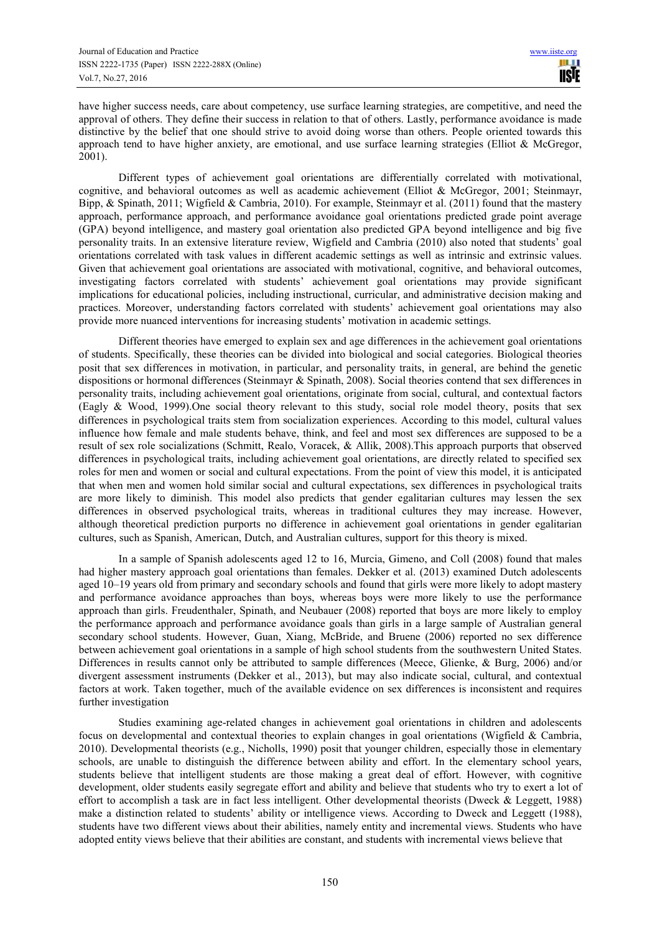have higher success needs, care about competency, use surface learning strategies, are competitive, and need the approval of others. They define their success in relation to that of others. Lastly, performance avoidance is made distinctive by the belief that one should strive to avoid doing worse than others. People oriented towards this approach tend to have higher anxiety, are emotional, and use surface learning strategies (Elliot & McGregor, 2001).

Different types of achievement goal orientations are differentially correlated with motivational, cognitive, and behavioral outcomes as well as academic achievement (Elliot & McGregor, 2001; Steinmayr, Bipp, & Spinath, 2011; Wigfield & Cambria, 2010). For example, Steinmayr et al. (2011) found that the mastery approach, performance approach, and performance avoidance goal orientations predicted grade point average (GPA) beyond intelligence, and mastery goal orientation also predicted GPA beyond intelligence and big five personality traits. In an extensive literature review, Wigfield and Cambria (2010) also noted that students' goal orientations correlated with task values in different academic settings as well as intrinsic and extrinsic values. Given that achievement goal orientations are associated with motivational, cognitive, and behavioral outcomes, investigating factors correlated with students' achievement goal orientations may provide significant implications for educational policies, including instructional, curricular, and administrative decision making and practices. Moreover, understanding factors correlated with students' achievement goal orientations may also provide more nuanced interventions for increasing students' motivation in academic settings.

Different theories have emerged to explain sex and age differences in the achievement goal orientations of students. Specifically, these theories can be divided into biological and social categories. Biological theories posit that sex differences in motivation, in particular, and personality traits, in general, are behind the genetic dispositions or hormonal differences (Steinmayr & Spinath, 2008). Social theories contend that sex differences in personality traits, including achievement goal orientations, originate from social, cultural, and contextual factors (Eagly & Wood, 1999).One social theory relevant to this study, social role model theory, posits that sex differences in psychological traits stem from socialization experiences. According to this model, cultural values influence how female and male students behave, think, and feel and most sex differences are supposed to be a result of sex role socializations (Schmitt, Realo, Voracek, & Allik, 2008).This approach purports that observed differences in psychological traits, including achievement goal orientations, are directly related to specified sex roles for men and women or social and cultural expectations. From the point of view this model, it is anticipated that when men and women hold similar social and cultural expectations, sex differences in psychological traits are more likely to diminish. This model also predicts that gender egalitarian cultures may lessen the sex differences in observed psychological traits, whereas in traditional cultures they may increase. However, although theoretical prediction purports no difference in achievement goal orientations in gender egalitarian cultures, such as Spanish, American, Dutch, and Australian cultures, support for this theory is mixed.

In a sample of Spanish adolescents aged 12 to 16, Murcia, Gimeno, and Coll (2008) found that males had higher mastery approach goal orientations than females. Dekker et al. (2013) examined Dutch adolescents aged 10–19 years old from primary and secondary schools and found that girls were more likely to adopt mastery and performance avoidance approaches than boys, whereas boys were more likely to use the performance approach than girls. Freudenthaler, Spinath, and Neubauer (2008) reported that boys are more likely to employ the performance approach and performance avoidance goals than girls in a large sample of Australian general secondary school students. However, Guan, Xiang, McBride, and Bruene (2006) reported no sex difference between achievement goal orientations in a sample of high school students from the southwestern United States. Differences in results cannot only be attributed to sample differences (Meece, Glienke, & Burg, 2006) and/or divergent assessment instruments (Dekker et al., 2013), but may also indicate social, cultural, and contextual factors at work. Taken together, much of the available evidence on sex differences is inconsistent and requires further investigation

Studies examining age-related changes in achievement goal orientations in children and adolescents focus on developmental and contextual theories to explain changes in goal orientations (Wigfield & Cambria, 2010). Developmental theorists (e.g., Nicholls, 1990) posit that younger children, especially those in elementary schools, are unable to distinguish the difference between ability and effort. In the elementary school years, students believe that intelligent students are those making a great deal of effort. However, with cognitive development, older students easily segregate effort and ability and believe that students who try to exert a lot of effort to accomplish a task are in fact less intelligent. Other developmental theorists (Dweck & Leggett, 1988) make a distinction related to students' ability or intelligence views. According to Dweck and Leggett (1988), students have two different views about their abilities, namely entity and incremental views. Students who have adopted entity views believe that their abilities are constant, and students with incremental views believe that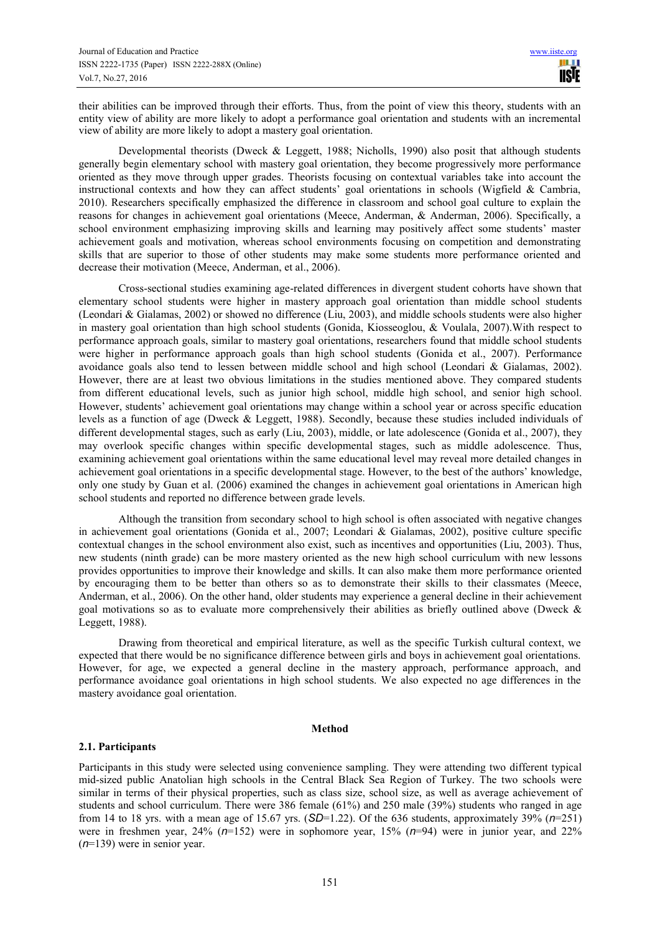their abilities can be improved through their efforts. Thus, from the point of view this theory, students with an entity view of ability are more likely to adopt a performance goal orientation and students with an incremental view of ability are more likely to adopt a mastery goal orientation.

Developmental theorists (Dweck & Leggett, 1988; Nicholls, 1990) also posit that although students generally begin elementary school with mastery goal orientation, they become progressively more performance oriented as they move through upper grades. Theorists focusing on contextual variables take into account the instructional contexts and how they can affect students' goal orientations in schools (Wigfield  $\&$  Cambria, 2010). Researchers specifically emphasized the difference in classroom and school goal culture to explain the reasons for changes in achievement goal orientations (Meece, Anderman, & Anderman, 2006). Specifically, a school environment emphasizing improving skills and learning may positively affect some students' master achievement goals and motivation, whereas school environments focusing on competition and demonstrating skills that are superior to those of other students may make some students more performance oriented and decrease their motivation (Meece, Anderman, et al., 2006).

Cross-sectional studies examining age-related differences in divergent student cohorts have shown that elementary school students were higher in mastery approach goal orientation than middle school students (Leondari & Gialamas, 2002) or showed no difference (Liu, 2003), and middle schools students were also higher in mastery goal orientation than high school students (Gonida, Kiosseoglou, & Voulala, 2007).With respect to performance approach goals, similar to mastery goal orientations, researchers found that middle school students were higher in performance approach goals than high school students (Gonida et al., 2007). Performance avoidance goals also tend to lessen between middle school and high school (Leondari & Gialamas, 2002). However, there are at least two obvious limitations in the studies mentioned above. They compared students from different educational levels, such as junior high school, middle high school, and senior high school. However, students' achievement goal orientations may change within a school year or across specific education levels as a function of age (Dweck & Leggett, 1988). Secondly, because these studies included individuals of different developmental stages, such as early (Liu, 2003), middle, or late adolescence (Gonida et al., 2007), they may overlook specific changes within specific developmental stages, such as middle adolescence. Thus, examining achievement goal orientations within the same educational level may reveal more detailed changes in achievement goal orientations in a specific developmental stage. However, to the best of the authors' knowledge, only one study by Guan et al. (2006) examined the changes in achievement goal orientations in American high school students and reported no difference between grade levels.

Although the transition from secondary school to high school is often associated with negative changes in achievement goal orientations (Gonida et al., 2007; Leondari & Gialamas, 2002), positive culture specific contextual changes in the school environment also exist, such as incentives and opportunities (Liu, 2003). Thus, new students (ninth grade) can be more mastery oriented as the new high school curriculum with new lessons provides opportunities to improve their knowledge and skills. It can also make them more performance oriented by encouraging them to be better than others so as to demonstrate their skills to their classmates (Meece, Anderman, et al., 2006). On the other hand, older students may experience a general decline in their achievement goal motivations so as to evaluate more comprehensively their abilities as briefly outlined above (Dweck & Leggett, 1988).

Drawing from theoretical and empirical literature, as well as the specific Turkish cultural context, we expected that there would be no significance difference between girls and boys in achievement goal orientations. However, for age, we expected a general decline in the mastery approach, performance approach, and performance avoidance goal orientations in high school students. We also expected no age differences in the mastery avoidance goal orientation.

## **Method**

# **2.1. Participants**

Participants in this study were selected using convenience sampling. They were attending two different typical mid-sized public Anatolian high schools in the Central Black Sea Region of Turkey. The two schools were similar in terms of their physical properties, such as class size, school size, as well as average achievement of students and school curriculum. There were 386 female (61%) and 250 male (39%) students who ranged in age from 14 to 18 yrs. with a mean age of 15.67 yrs. (*SD*=1.22). Of the 636 students, approximately 39% (*n*=251) were in freshmen year, 24% (*n*=152) were in sophomore year, 15% (*n*=94) were in junior year, and 22% (*n*=139) were in senior year.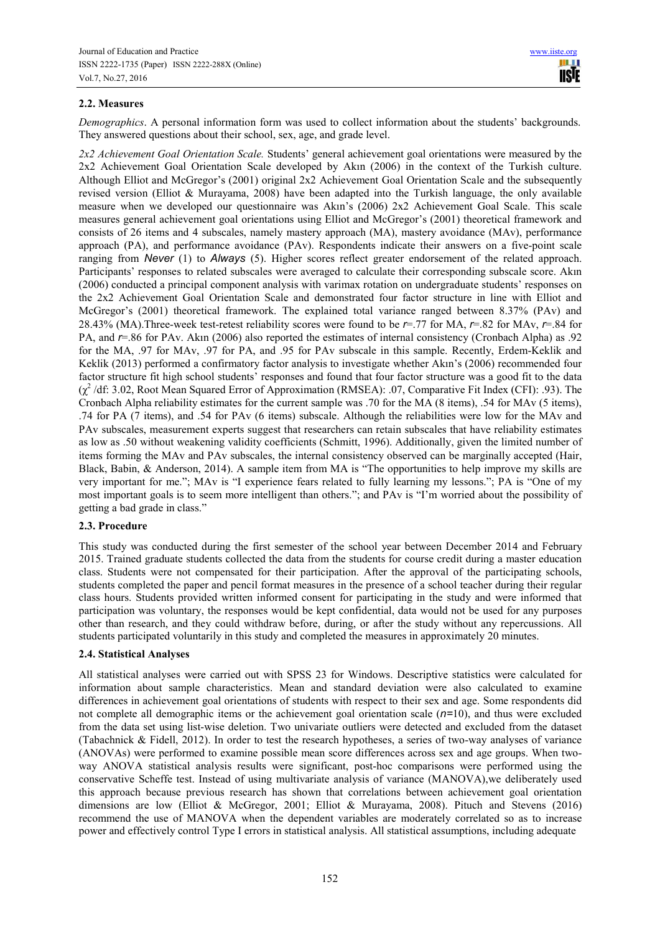# **2.2. Measures**

*Demographics*. A personal information form was used to collect information about the students' backgrounds. They answered questions about their school, sex, age, and grade level.

*2x2 Achievement Goal Orientation Scale.* Students' general achievement goal orientations were measured by the 2x2 Achievement Goal Orientation Scale developed by Akın (2006) in the context of the Turkish culture. Although Elliot and McGregor's (2001) original 2x2 Achievement Goal Orientation Scale and the subsequently revised version (Elliot & Murayama, 2008) have been adapted into the Turkish language, the only available measure when we developed our questionnaire was Akın's (2006) 2x2 Achievement Goal Scale. This scale measures general achievement goal orientations using Elliot and McGregor's (2001) theoretical framework and consists of 26 items and 4 subscales, namely mastery approach (MA), mastery avoidance (MAv), performance approach (PA), and performance avoidance (PAv). Respondents indicate their answers on a five-point scale ranging from *Never* (1) to *Always* (5). Higher scores reflect greater endorsement of the related approach. Participants' responses to related subscales were averaged to calculate their corresponding subscale score. Akın (2006) conducted a principal component analysis with varimax rotation on undergraduate students' responses on the 2x2 Achievement Goal Orientation Scale and demonstrated four factor structure in line with Elliot and McGregor's (2001) theoretical framework. The explained total variance ranged between 8.37% (PAv) and 28.43% (MA).Three-week test-retest reliability scores were found to be *r*=.77 for MA, *r*=.82 for MAv, *r*=.84 for PA, and *r*=.86 for PAv. Akın (2006) also reported the estimates of internal consistency (Cronbach Alpha) as .92 for the MA, .97 for MAv, .97 for PA, and .95 for PAv subscale in this sample. Recently, Erdem-Keklik and Keklik (2013) performed a confirmatory factor analysis to investigate whether Akın's (2006) recommended four factor structure fit high school students' responses and found that four factor structure was a good fit to the data (χ<sup>2</sup>/df: 3.02, Root Mean Squared Error of Approximation (RMSEA): .07, Comparative Fit Index (CFI): .93). The Cronbach Alpha reliability estimates for the current sample was .70 for the MA (8 items), .54 for MAv (5 items), .74 for PA (7 items), and .54 for PAv (6 items) subscale. Although the reliabilities were low for the MAv and PAv subscales, measurement experts suggest that researchers can retain subscales that have reliability estimates as low as .50 without weakening validity coefficients (Schmitt, 1996). Additionally, given the limited number of items forming the MAv and PAv subscales, the internal consistency observed can be marginally accepted (Hair, Black, Babin, & Anderson, 2014). A sample item from MA is "The opportunities to help improve my skills are very important for me."; MAv is "I experience fears related to fully learning my lessons."; PA is "One of my most important goals is to seem more intelligent than others."; and PAv is "I'm worried about the possibility of getting a bad grade in class."

# **2.3. Procedure**

This study was conducted during the first semester of the school year between December 2014 and February 2015. Trained graduate students collected the data from the students for course credit during a master education class. Students were not compensated for their participation. After the approval of the participating schools, students completed the paper and pencil format measures in the presence of a school teacher during their regular class hours. Students provided written informed consent for participating in the study and were informed that participation was voluntary, the responses would be kept confidential, data would not be used for any purposes other than research, and they could withdraw before, during, or after the study without any repercussions. All students participated voluntarily in this study and completed the measures in approximately 20 minutes.

# **2.4. Statistical Analyses**

All statistical analyses were carried out with SPSS 23 for Windows. Descriptive statistics were calculated for information about sample characteristics. Mean and standard deviation were also calculated to examine differences in achievement goal orientations of students with respect to their sex and age. Some respondents did not complete all demographic items or the achievement goal orientation scale (*n=*10), and thus were excluded from the data set using list-wise deletion. Two univariate outliers were detected and excluded from the dataset (Tabachnick & Fidell, 2012). In order to test the research hypotheses, a series of two-way analyses of variance (ANOVAs) were performed to examine possible mean score differences across sex and age groups. When twoway ANOVA statistical analysis results were significant, post-hoc comparisons were performed using the conservative Scheffe test. Instead of using multivariate analysis of variance (MANOVA),we deliberately used this approach because previous research has shown that correlations between achievement goal orientation dimensions are low (Elliot & McGregor, 2001; Elliot & Murayama, 2008). Pituch and Stevens (2016) recommend the use of MANOVA when the dependent variables are moderately correlated so as to increase power and effectively control Type I errors in statistical analysis. All statistical assumptions, including adequate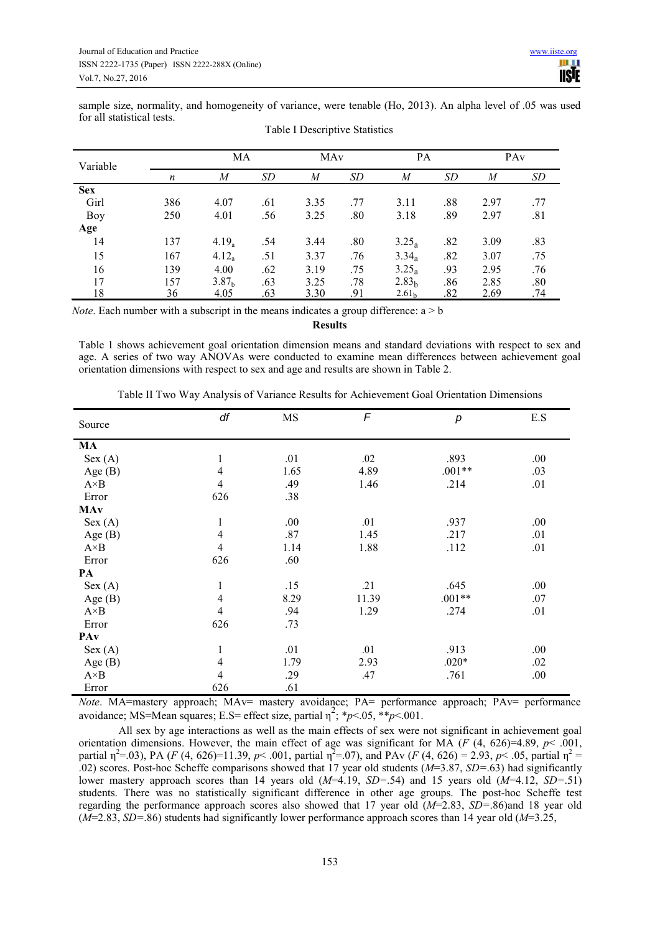sample size, normality, and homogeneity of variance, were tenable (Ho, 2013). An alpha level of .05 was used for all statistical tests.

| Variable   |     | MA                |           | MAy  |     | PA                |     |      | PA <sub>v</sub> |
|------------|-----|-------------------|-----------|------|-----|-------------------|-----|------|-----------------|
|            | n   | M                 | <i>SD</i> | M    | SD  | M                 | SD  | M    | SD              |
| <b>Sex</b> |     |                   |           |      |     |                   |     |      |                 |
| Girl       | 386 | 4.07              | .61       | 3.35 | .77 | 3.11              | .88 | 2.97 | .77             |
| Boy        | 250 | 4.01              | .56       | 3.25 | .80 | 3.18              | .89 | 2.97 | .81             |
| Age        |     |                   |           |      |     |                   |     |      |                 |
| 14         | 137 | $4.19_a$          | .54       | 3.44 | .80 | $3.25_a$          | .82 | 3.09 | .83             |
| 15         | 167 | $4.12_a$          | .51       | 3.37 | .76 | $3.34_a$          | .82 | 3.07 | .75             |
| 16         | 139 | 4.00              | .62       | 3.19 | .75 | $3.25_a$          | .93 | 2.95 | .76             |
| 17         | 157 | 3.87 <sub>b</sub> | .63       | 3.25 | .78 | 2.83 <sub>h</sub> | .86 | 2.85 | .80             |
| 18         | 36  | 4.05              | .63       | 3.30 | .91 | 2.61 <sub>b</sub> | .82 | 2.69 | .74             |

| Table I Descriptive Statistics |  |
|--------------------------------|--|
|                                |  |

*Note*. Each number with a subscript in the means indicates a group difference:  $a > b$ 

**Results** 

Table 1 shows achievement goal orientation dimension means and standard deviations with respect to sex and age. A series of two way ANOVAs were conducted to examine mean differences between achievement goal orientation dimensions with respect to sex and age and results are shown in Table 2.

| Source       | df             | MS   | F     | р        | E.S |
|--------------|----------------|------|-------|----------|-----|
| MA           |                |      |       |          |     |
| Sex (A)      | 1              | .01  | .02   | .893     | .00 |
| Age $(B)$    | $\overline{4}$ | 1.65 | 4.89  | $.001**$ | .03 |
| $A \times B$ | 4              | .49  | 1.46  | .214     | .01 |
| Error        | 626            | .38  |       |          |     |
| MAy          |                |      |       |          |     |
| Sex (A)      | 1              | .00. | .01   | .937     | .00 |
| Age $(B)$    | $\overline{4}$ | .87  | 1.45  | .217     | .01 |
| $A \times B$ | 4              | 1.14 | 1.88  | .112     | .01 |
| Error        | 626            | .60  |       |          |     |
| PА           |                |      |       |          |     |
| Sex (A)      | 1              | .15  | .21   | .645     | .00 |
| Age $(B)$    | $\overline{4}$ | 8.29 | 11.39 | $.001**$ | .07 |
| $A \times B$ | $\overline{4}$ | .94  | 1.29  | .274     | .01 |
| Error        | 626            | .73  |       |          |     |
| PAv          |                |      |       |          |     |
| Sex (A)      | $\mathbf{1}$   | .01  | .01   | .913     | .00 |
| Age $(B)$    | $\overline{4}$ | 1.79 | 2.93  | $.020*$  | .02 |
| $A \times B$ | $\overline{4}$ | .29  | .47   | .761     | .00 |
| Error        | 626            | .61  |       |          |     |

Table II Two Way Analysis of Variance Results for Achievement Goal Orientation Dimensions

*Note*. MA=mastery approach; MAv= mastery avoidance; PA= performance approach; PAv= performance avoidance; MS=Mean squares; E.S= effect size, partial  $\eta^2$ ; \* $p$  <.05, \*\* $p$  <.001.

All sex by age interactions as well as the main effects of sex were not significant in achievement goal orientation dimensions. However, the main effect of age was significant for MA ( $F$  (4, 626)=4.89,  $p$ < .001, partial  $\eta^2$ =.03), PA (*F* (4, 626)=11.39, *p*< .001, partial  $\eta^2$ =.07), and PAv (*F* (4, 626) = 2.93, *p*< .05, partial  $\eta^2$  = .02) scores. Post-hoc Scheffe comparisons showed that 17 year old students (*M*=3.87, *SD=*.63) had significantly lower mastery approach scores than 14 years old (*M*=4.19, *SD=*.54) and 15 years old (*M*=4.12, *SD=*.51) students. There was no statistically significant difference in other age groups. The post-hoc Scheffe test regarding the performance approach scores also showed that 17 year old (*M*=2.83, *SD=*.86)and 18 year old (*M*=2.83, *SD=*.86) students had significantly lower performance approach scores than 14 year old (*M*=3.25,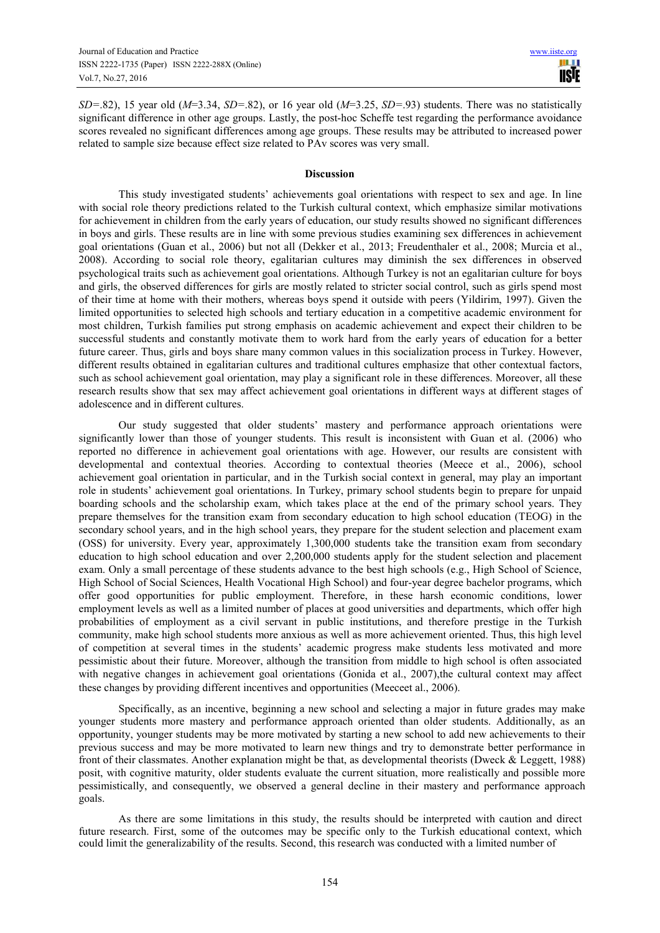*SD=*.82), 15 year old (*M*=3.34, *SD=*.82), or 16 year old (*M*=3.25, *SD=*.93) students. There was no statistically significant difference in other age groups. Lastly, the post-hoc Scheffe test regarding the performance avoidance scores revealed no significant differences among age groups. These results may be attributed to increased power related to sample size because effect size related to PAv scores was very small.

## **Discussion**

This study investigated students' achievements goal orientations with respect to sex and age. In line with social role theory predictions related to the Turkish cultural context, which emphasize similar motivations for achievement in children from the early years of education, our study results showed no significant differences in boys and girls. These results are in line with some previous studies examining sex differences in achievement goal orientations (Guan et al., 2006) but not all (Dekker et al., 2013; Freudenthaler et al., 2008; Murcia et al., 2008). According to social role theory, egalitarian cultures may diminish the sex differences in observed psychological traits such as achievement goal orientations. Although Turkey is not an egalitarian culture for boys and girls, the observed differences for girls are mostly related to stricter social control, such as girls spend most of their time at home with their mothers, whereas boys spend it outside with peers (Yildirim, 1997). Given the limited opportunities to selected high schools and tertiary education in a competitive academic environment for most children, Turkish families put strong emphasis on academic achievement and expect their children to be successful students and constantly motivate them to work hard from the early years of education for a better future career. Thus, girls and boys share many common values in this socialization process in Turkey. However, different results obtained in egalitarian cultures and traditional cultures emphasize that other contextual factors, such as school achievement goal orientation, may play a significant role in these differences. Moreover, all these research results show that sex may affect achievement goal orientations in different ways at different stages of adolescence and in different cultures.

Our study suggested that older students' mastery and performance approach orientations were significantly lower than those of younger students. This result is inconsistent with Guan et al. (2006) who reported no difference in achievement goal orientations with age. However, our results are consistent with developmental and contextual theories. According to contextual theories (Meece et al., 2006), school achievement goal orientation in particular, and in the Turkish social context in general, may play an important role in students' achievement goal orientations. In Turkey, primary school students begin to prepare for unpaid boarding schools and the scholarship exam, which takes place at the end of the primary school years. They prepare themselves for the transition exam from secondary education to high school education (TEOG) in the secondary school years, and in the high school years, they prepare for the student selection and placement exam (OSS) for university. Every year, approximately 1,300,000 students take the transition exam from secondary education to high school education and over 2,200,000 students apply for the student selection and placement exam. Only a small percentage of these students advance to the best high schools (e.g., High School of Science, High School of Social Sciences, Health Vocational High School) and four-year degree bachelor programs, which offer good opportunities for public employment. Therefore, in these harsh economic conditions, lower employment levels as well as a limited number of places at good universities and departments, which offer high probabilities of employment as a civil servant in public institutions, and therefore prestige in the Turkish community, make high school students more anxious as well as more achievement oriented. Thus, this high level of competition at several times in the students' academic progress make students less motivated and more pessimistic about their future. Moreover, although the transition from middle to high school is often associated with negative changes in achievement goal orientations (Gonida et al., 2007), the cultural context may affect these changes by providing different incentives and opportunities (Meeceet al., 2006).

Specifically, as an incentive, beginning a new school and selecting a major in future grades may make younger students more mastery and performance approach oriented than older students. Additionally, as an opportunity, younger students may be more motivated by starting a new school to add new achievements to their previous success and may be more motivated to learn new things and try to demonstrate better performance in front of their classmates. Another explanation might be that, as developmental theorists (Dweck & Leggett, 1988) posit, with cognitive maturity, older students evaluate the current situation, more realistically and possible more pessimistically, and consequently, we observed a general decline in their mastery and performance approach goals.

As there are some limitations in this study, the results should be interpreted with caution and direct future research. First, some of the outcomes may be specific only to the Turkish educational context, which could limit the generalizability of the results. Second, this research was conducted with a limited number of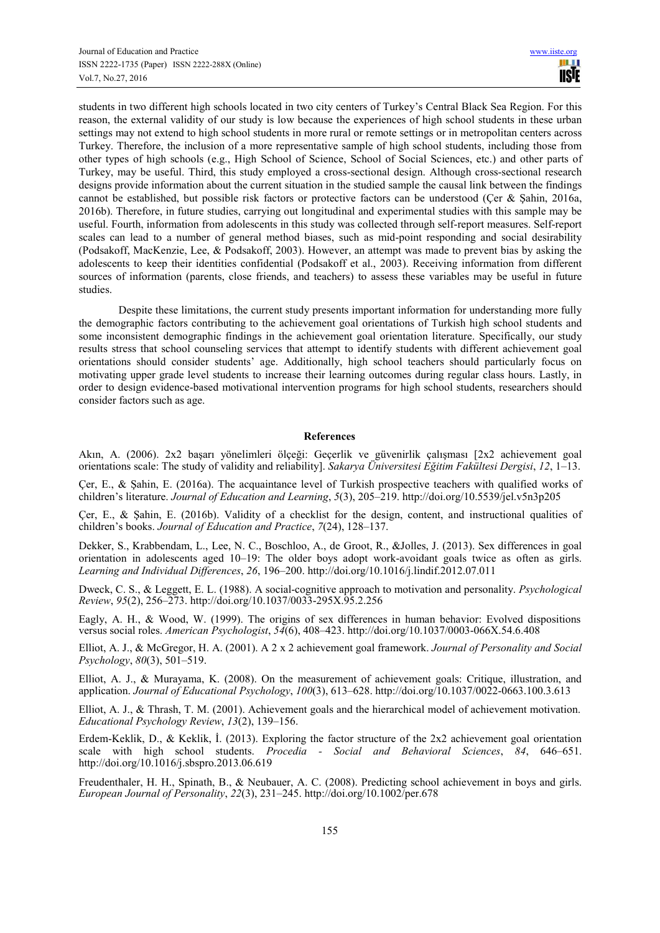students in two different high schools located in two city centers of Turkey's Central Black Sea Region. For this reason, the external validity of our study is low because the experiences of high school students in these urban settings may not extend to high school students in more rural or remote settings or in metropolitan centers across Turkey. Therefore, the inclusion of a more representative sample of high school students, including those from other types of high schools (e.g., High School of Science, School of Social Sciences, etc.) and other parts of Turkey, may be useful. Third, this study employed a cross-sectional design. Although cross-sectional research designs provide information about the current situation in the studied sample the causal link between the findings cannot be established, but possible risk factors or protective factors can be understood (Çer & Şahin, 2016a, 2016b). Therefore, in future studies, carrying out longitudinal and experimental studies with this sample may be useful. Fourth, information from adolescents in this study was collected through self-report measures. Self-report scales can lead to a number of general method biases, such as mid-point responding and social desirability (Podsakoff, MacKenzie, Lee, & Podsakoff, 2003). However, an attempt was made to prevent bias by asking the adolescents to keep their identities confidential (Podsakoff et al., 2003). Receiving information from different sources of information (parents, close friends, and teachers) to assess these variables may be useful in future studies.

Despite these limitations, the current study presents important information for understanding more fully the demographic factors contributing to the achievement goal orientations of Turkish high school students and some inconsistent demographic findings in the achievement goal orientation literature. Specifically, our study results stress that school counseling services that attempt to identify students with different achievement goal orientations should consider students' age. Additionally, high school teachers should particularly focus on motivating upper grade level students to increase their learning outcomes during regular class hours. Lastly, in order to design evidence-based motivational intervention programs for high school students, researchers should consider factors such as age.

## **References**

Akın, A. (2006). 2x2 başarı yönelimleri ölçeği: Geçerlik ve güvenirlik çalışması [2x2 achievement goal orientations scale: The study of validity and reliability]. *Sakarya Üniversitesi Eğitim Fakültesi Dergisi*, *12*, 1–13.

Çer, E., & Şahin, E. (2016a). The acquaintance level of Turkish prospective teachers with qualified works of children's literature. *Journal of Education and Learning*, *5*(3), 205–219. http://doi.org/10.5539/jel.v5n3p205

Çer, E., & Şahin, E. (2016b). Validity of a checklist for the design, content, and instructional qualities of children's books. *Journal of Education and Practice*, *7*(24), 128–137.

Dekker, S., Krabbendam, L., Lee, N. C., Boschloo, A., de Groot, R., &Jolles, J. (2013). Sex differences in goal orientation in adolescents aged 10–19: The older boys adopt work-avoidant goals twice as often as girls. *Learning and Individual Differences*, *26*, 196–200. http://doi.org/10.1016/j.lindif.2012.07.011

Dweck, C. S., & Leggett, E. L. (1988). A social-cognitive approach to motivation and personality. *Psychological Review*, *95*(2), 256–273. http://doi.org/10.1037/0033-295X.95.2.256

Eagly, A. H., & Wood, W. (1999). The origins of sex differences in human behavior: Evolved dispositions versus social roles. *American Psychologist*, *54*(6), 408–423. http://doi.org/10.1037/0003-066X.54.6.408

Elliot, A. J., & McGregor, H. A. (2001). A 2 x 2 achievement goal framework. *Journal of Personality and Social Psychology*, *80*(3), 501–519.

Elliot, A. J., & Murayama, K. (2008). On the measurement of achievement goals: Critique, illustration, and application. *Journal of Educational Psychology*, *100*(3), 613–628. http://doi.org/10.1037/0022-0663.100.3.613

Elliot, A. J., & Thrash, T. M. (2001). Achievement goals and the hierarchical model of achievement motivation. *Educational Psychology Review*, *13*(2), 139–156.

Erdem-Keklik, D., & Keklik, I. (2013). Exploring the factor structure of the 2x2 achievement goal orientation scale with high school students. *Procedia - Social and Behavioral Sciences*, *84*, 646–651. http://doi.org/10.1016/j.sbspro.2013.06.619

Freudenthaler, H. H., Spinath, B., & Neubauer, A. C. (2008). Predicting school achievement in boys and girls. *European Journal of Personality*, *22*(3), 231–245. http://doi.org/10.1002/per.678